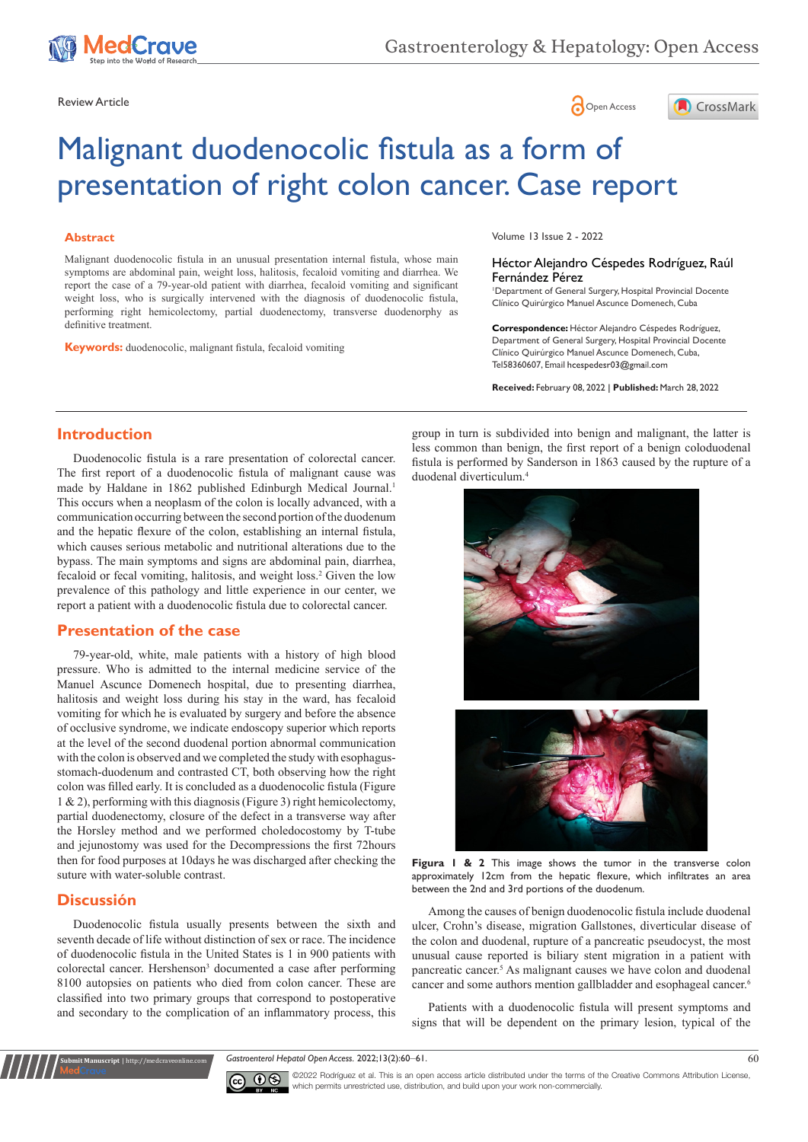

Review Article **Contract Contract Contract Contract Contract Contract Contract Contract Contract Contract Contract Contract Contract Contract Contract Contract Contract Contract Contract Contract Contract Contract Contract** 



# Malignant duodenocolic fistula as a form of presentation of right colon cancer. Case report

#### **Abstract**

Malignant duodenocolic fistula in an unusual presentation internal fistula, whose main symptoms are abdominal pain, weight loss, halitosis, fecaloid vomiting and diarrhea. We report the case of a 79-year-old patient with diarrhea, fecaloid vomiting and significant weight loss, who is surgically intervened with the diagnosis of duodenocolic fistula, performing right hemicolectomy, partial duodenectomy, transverse duodenorphy as definitive treatment.

**Keywords:** duodenocolic, malignant fistula, fecaloid vomiting

Volume 13 Issue 2 - 2022

#### Héctor Alejandro Céspedes Rodríguez, Raúl Fernández Pérez

1 Department of General Surgery, Hospital Provincial Docente Clínico Quirúrgico Manuel Ascunce Domenech, Cuba

**Correspondence:** Héctor Alejandro Céspedes Rodríguez, Department of General Surgery, Hospital Provincial Docente Clínico Quirúrgico Manuel Ascunce Domenech, Cuba, Tel58360607, Email hcespedesr03@gmail.com

**Received:** February 08, 2022 | **Published:** March 28, 2022

**Introduction**

Duodenocolic fistula is a rare presentation of colorectal cancer. The first report of a duodenocolic fistula of malignant cause was made by Haldane in 1862 published Edinburgh Medical Journal.<sup>1</sup> This occurs when a neoplasm of the colon is locally advanced, with a communication occurring between the second portion of the duodenum and the hepatic flexure of the colon, establishing an internal fistula, which causes serious metabolic and nutritional alterations due to the bypass. The main symptoms and signs are abdominal pain, diarrhea, fecaloid or fecal vomiting, halitosis, and weight loss.<sup>2</sup> Given the low prevalence of this pathology and little experience in our center, we report a patient with a duodenocolic fistula due to colorectal cancer.

# **Presentation of the case**

79-year-old, white, male patients with a history of high blood pressure. Who is admitted to the internal medicine service of the Manuel Ascunce Domenech hospital, due to presenting diarrhea, halitosis and weight loss during his stay in the ward, has fecaloid vomiting for which he is evaluated by surgery and before the absence of occlusive syndrome, we indicate endoscopy superior which reports at the level of the second duodenal portion abnormal communication with the colon is observed and we completed the study with esophagusstomach-duodenum and contrasted CT, both observing how the right colon was filled early. It is concluded as a duodenocolic fistula (Figure 1 & 2), performing with this diagnosis (Figure 3) right hemicolectomy, partial duodenectomy, closure of the defect in a transverse way after the Horsley method and we performed choledocostomy by T-tube and jejunostomy was used for the Decompressions the first 72hours then for food purposes at 10days he was discharged after checking the suture with water-soluble contrast.

# **Discussión**

**Submit Manuscript** | http://medcraveonline.com

Duodenocolic fistula usually presents between the sixth and seventh decade of life without distinction of sex or race. The incidence of duodenocolic fistula in the United States is 1 in 900 patients with colorectal cancer. Hershenson<sup>3</sup> documented a case after performing 8100 autopsies on patients who died from colon cancer. These are classified into two primary groups that correspond to postoperative and secondary to the complication of an inflammatory process, this group in turn is subdivided into benign and malignant, the latter is less common than benign, the first report of a benign coloduodenal fistula is performed by Sanderson in 1863 caused by the rupture of a duodenal diverticulum.<sup>4</sup>





**Figura 1 & 2** This image shows the tumor in the transverse colon approximately 12cm from the hepatic flexure, which infiltrates an area between the 2nd and 3rd portions of the duodenum.

Among the causes of benign duodenocolic fistula include duodenal ulcer, Crohn's disease, migration Gallstones, diverticular disease of the colon and duodenal, rupture of a pancreatic pseudocyst, the most unusual cause reported is biliary stent migration in a patient with pancreatic cancer.<sup>5</sup> As malignant causes we have colon and duodenal cancer and some authors mention gallbladder and esophageal cancer.6

Patients with a duodenocolic fistula will present symptoms and signs that will be dependent on the primary lesion, typical of the

*Gastroenterol Hepatol Open Access.* 2022;13(2):60‒61. 60



©2022 Rodríguez et al. This is an open access article distributed under the terms of the Creative Commons Attribution License, which permits unrestricted use, distribution, and build upon your work non-commercially.